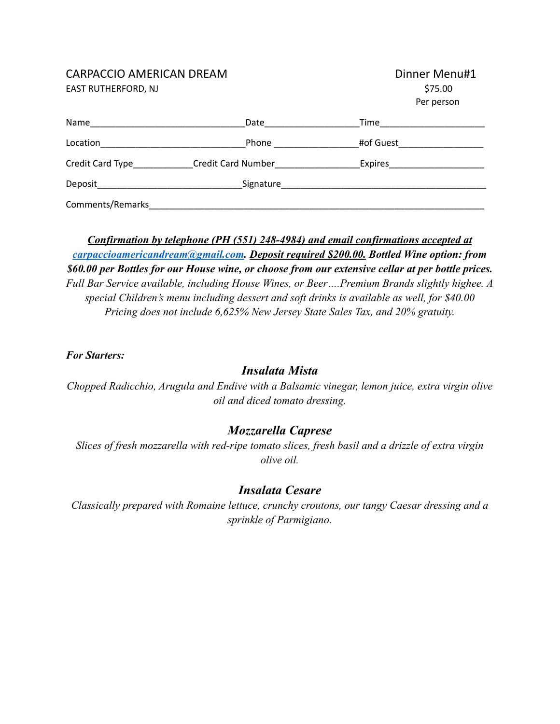#### CARPACCIO AMERICAN DREAM

EAST RUTHERFORD, NJ

| Dinner Menu#1 |
|---------------|
| \$75.00       |
| Per person    |

| Name             | Date                      | Time      |  |
|------------------|---------------------------|-----------|--|
| Location         | Phone                     | #of Guest |  |
| Credit Card Type | <b>Credit Card Number</b> | Expires   |  |
| Deposit          | Signature                 |           |  |
| Comments/Remarks |                           |           |  |

*Confirmation by telephone (PH (551) 248-4984) and email confirmations accepted at [carpaccioamericandream@gmail.com](mailto:carpaccioamericandream@gmail.com). Deposit required \$200.00. Bottled Wine option: from \$60.00 per Bottles for our House wine, or choose from our extensive cellar at per bottle prices. Full Bar Service available, including House Wines, or Beer….Premium Brands slightly highee. A special Children's menu including dessert and soft drinks is available as well, for \$40.00 Pricing does not include 6,625% New Jersey State Sales Tax, and 20% gratuity.*

#### *For Starters:*

## *Insalata Mista*

*Chopped Radicchio, Arugula and Endive with a Balsamic vinegar, lemon juice, extra virgin olive oil and diced tomato dressing.*

## *Mozzarella Caprese*

*Slices of fresh mozzarella with red-ripe tomato slices, fresh basil and a drizzle of extra virgin olive oil.*

## *Insalata Cesare*

*Classically prepared with Romaine lettuce, crunchy croutons, our tangy Caesar dressing and a sprinkle of Parmigiano.*